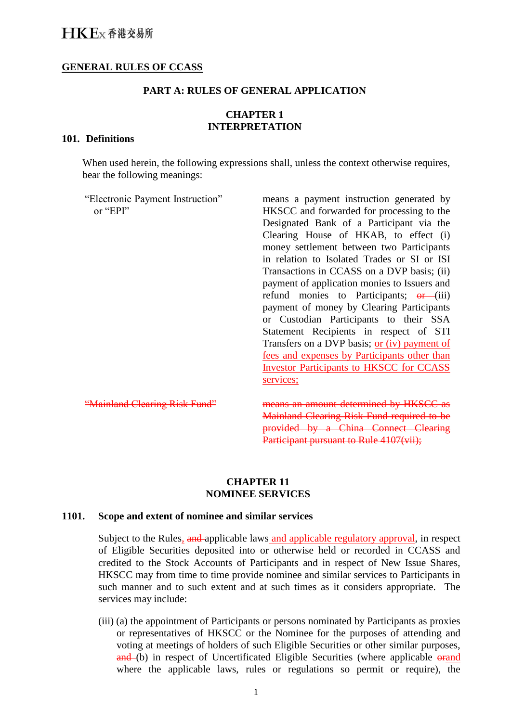### **GENERAL RULES OF CCASS**

#### **PART A: RULES OF GENERAL APPLICATION**

# **CHAPTER 1 INTERPRETATION**

#### **101. Definitions**

When used herein, the following expressions shall, unless the context otherwise requires, bear the following meanings:

"Electronic Payment Instruction" or "EPI" means a payment instruction generated by HKSCC and forwarded for processing to the Designated Bank of a Participant via the Clearing House of HKAB, to effect (i) money settlement between two Participants in relation to Isolated Trades or SI or ISI Transactions in CCASS on a DVP basis; (ii) payment of application monies to Issuers and refund monies to Participants;  $\Theta$  (iii) payment of money by Clearing Participants or Custodian Participants to their SSA Statement Recipients in respect of STI Transfers on a DVP basis; or (iv) payment of fees and expenses by Participants other than Investor Participants to HKSCC for CCASS services; "Mainland Clearing Risk Fund" means an amount determined by HKSCC as Mainland Clearing Risk Fund required to be provided by a China Connect Clearing Participant pursuant to Rule 4107(vii);

### **CHAPTER 11 NOMINEE SERVICES**

#### **1101. Scope and extent of nominee and similar services**

Subject to the Rules, and applicable laws and applicable regulatory approval, in respect of Eligible Securities deposited into or otherwise held or recorded in CCASS and credited to the Stock Accounts of Participants and in respect of New Issue Shares, HKSCC may from time to time provide nominee and similar services to Participants in such manner and to such extent and at such times as it considers appropriate. The services may include:

(iii) (a) the appointment of Participants or persons nominated by Participants as proxies or representatives of HKSCC or the Nominee for the purposes of attending and voting at meetings of holders of such Eligible Securities or other similar purposes, and (b) in respect of Uncertificated Eligible Securities (where applicable orand where the applicable laws, rules or regulations so permit or require), the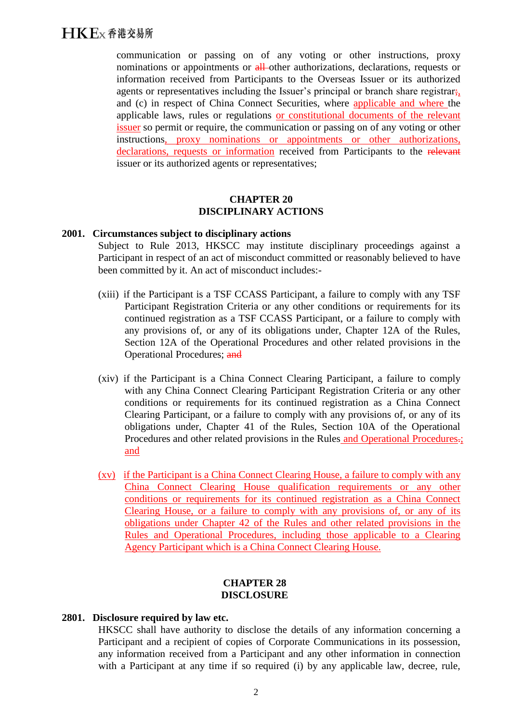# $H$  $K$  $F$  $x$  香港交易所

communication or passing on of any voting or other instructions, proxy nominations or appointments or all-other authorizations, declarations, requests or information received from Participants to the Overseas Issuer or its authorized agents or representatives including the Issuer's principal or branch share registrar; and (c) in respect of China Connect Securities, where applicable and where the applicable laws, rules or regulations or constitutional documents of the relevant issuer so permit or require, the communication or passing on of any voting or other instructions, proxy nominations or appointments or other authorizations, declarations, requests or information received from Participants to the relevant issuer or its authorized agents or representatives;

### **CHAPTER 20 DISCIPLINARY ACTIONS**

#### **2001. Circumstances subject to disciplinary actions**

Subject to Rule 2013, HKSCC may institute disciplinary proceedings against a Participant in respect of an act of misconduct committed or reasonably believed to have been committed by it. An act of misconduct includes:-

- (xiii) if the Participant is a TSF CCASS Participant, a failure to comply with any TSF Participant Registration Criteria or any other conditions or requirements for its continued registration as a TSF CCASS Participant, or a failure to comply with any provisions of, or any of its obligations under, Chapter 12A of the Rules, Section 12A of the Operational Procedures and other related provisions in the Operational Procedures; and
- (xiv) if the Participant is a China Connect Clearing Participant, a failure to comply with any China Connect Clearing Participant Registration Criteria or any other conditions or requirements for its continued registration as a China Connect Clearing Participant, or a failure to comply with any provisions of, or any of its obligations under, Chapter 41 of the Rules, Section 10A of the Operational Procedures and other related provisions in the Rules and Operational Procedures.; and
- (xv) if the Participant is a China Connect Clearing House, a failure to comply with any China Connect Clearing House qualification requirements or any other conditions or requirements for its continued registration as a China Connect Clearing House, or a failure to comply with any provisions of, or any of its obligations under Chapter 42 of the Rules and other related provisions in the Rules and Operational Procedures, including those applicable to a Clearing Agency Participant which is a China Connect Clearing House.

#### **CHAPTER 28 DISCLOSURE**

#### **2801. Disclosure required by law etc.**

HKSCC shall have authority to disclose the details of any information concerning a Participant and a recipient of copies of Corporate Communications in its possession, any information received from a Participant and any other information in connection with a Participant at any time if so required (i) by any applicable law, decree, rule,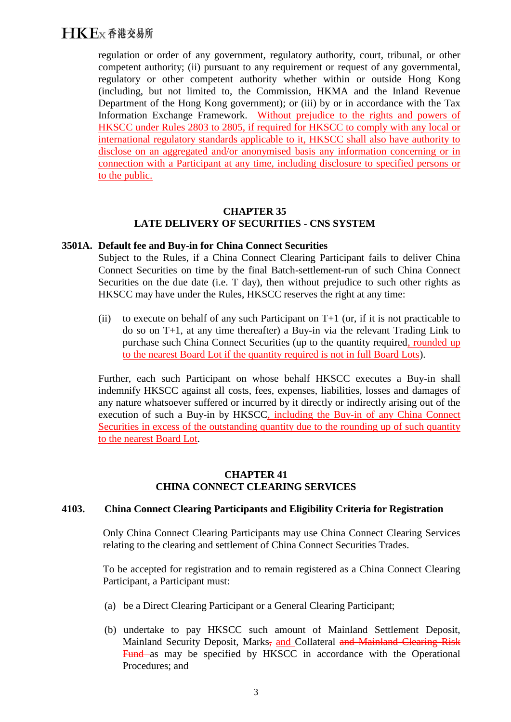# $H$  $K$  $F$  $x$  香港交易所

regulation or order of any government, regulatory authority, court, tribunal, or other competent authority; (ii) pursuant to any requirement or request of any governmental, regulatory or other competent authority whether within or outside Hong Kong (including, but not limited to, the Commission, HKMA and the Inland Revenue Department of the Hong Kong government); or (iii) by or in accordance with the Tax Information Exchange Framework. Without prejudice to the rights and powers of HKSCC under Rules 2803 to 2805, if required for HKSCC to comply with any local or international regulatory standards applicable to it, HKSCC shall also have authority to disclose on an aggregated and/or anonymised basis any information concerning or in connection with a Participant at any time, including disclosure to specified persons or to the public.

## **CHAPTER 35 LATE DELIVERY OF SECURITIES - CNS SYSTEM**

#### **3501A. Default fee and Buy-in for China Connect Securities**

Subject to the Rules, if a China Connect Clearing Participant fails to deliver China Connect Securities on time by the final Batch-settlement-run of such China Connect Securities on the due date (i.e. T day), then without prejudice to such other rights as HKSCC may have under the Rules, HKSCC reserves the right at any time:

(ii) to execute on behalf of any such Participant on  $T+1$  (or, if it is not practicable to do so on T+1, at any time thereafter) a Buy-in via the relevant Trading Link to purchase such China Connect Securities (up to the quantity required, rounded up to the nearest Board Lot if the quantity required is not in full Board Lots).

Further, each such Participant on whose behalf HKSCC executes a Buy-in shall indemnify HKSCC against all costs, fees, expenses, liabilities, losses and damages of any nature whatsoever suffered or incurred by it directly or indirectly arising out of the execution of such a Buy-in by HKSCC, including the Buy-in of any China Connect Securities in excess of the outstanding quantity due to the rounding up of such quantity to the nearest Board Lot.

## **CHAPTER 41 CHINA CONNECT CLEARING SERVICES**

#### **4103. China Connect Clearing Participants and Eligibility Criteria for Registration**

Only China Connect Clearing Participants may use China Connect Clearing Services relating to the clearing and settlement of China Connect Securities Trades.

To be accepted for registration and to remain registered as a China Connect Clearing Participant, a Participant must:

- (a) be a Direct Clearing Participant or a General Clearing Participant;
- (b) undertake to pay HKSCC such amount of Mainland Settlement Deposit, Mainland Security Deposit, Marks, and Collateral and Mainland Clearing Risk Fund as may be specified by HKSCC in accordance with the Operational Procedures; and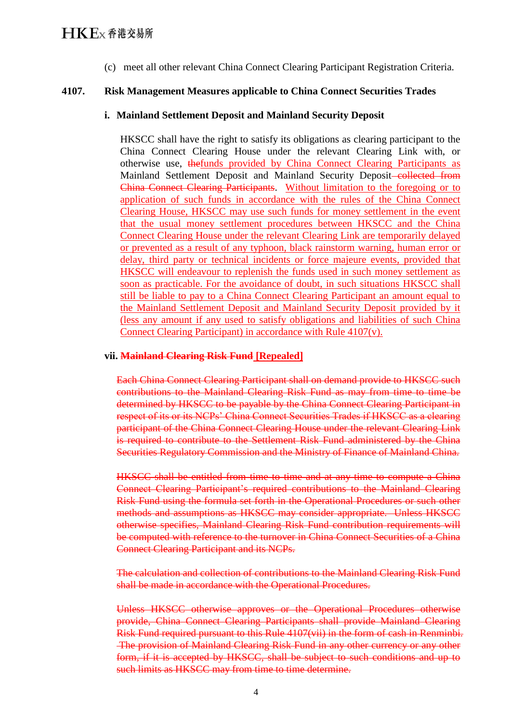(c) meet all other relevant China Connect Clearing Participant Registration Criteria.

## **4107. Risk Management Measures applicable to China Connect Securities Trades**

#### **i. Mainland Settlement Deposit and Mainland Security Deposit**

HKSCC shall have the right to satisfy its obligations as clearing participant to the China Connect Clearing House under the relevant Clearing Link with, or otherwise use, thefunds provided by China Connect Clearing Participants as Mainland Settlement Deposit and Mainland Security Deposit-collected from China Connect Clearing Participants. Without limitation to the foregoing or to application of such funds in accordance with the rules of the China Connect Clearing House, HKSCC may use such funds for money settlement in the event that the usual money settlement procedures between HKSCC and the China Connect Clearing House under the relevant Clearing Link are temporarily delayed or prevented as a result of any typhoon, black rainstorm warning, human error or delay, third party or technical incidents or force majeure events, provided that HKSCC will endeavour to replenish the funds used in such money settlement as soon as practicable. For the avoidance of doubt, in such situations HKSCC shall still be liable to pay to a China Connect Clearing Participant an amount equal to the Mainland Settlement Deposit and Mainland Security Deposit provided by it (less any amount if any used to satisfy obligations and liabilities of such China Connect Clearing Participant) in accordance with Rule 4107(v).

#### **vii. Mainland Clearing Risk Fund [Repealed]**

Each China Connect Clearing Participant shall on demand provide to HKSCC such contributions to the Mainland Clearing Risk Fund as may from time to time be determined by HKSCC to be payable by the China Connect Clearing Participant in respect of its or its NCPs' China Connect Securities Trades if HKSCC as a clearing participant of the China Connect Clearing House under the relevant Clearing Link is required to contribute to the Settlement Risk Fund administered by the China Securities Regulatory Commission and the Ministry of Finance of Mainland China.

HKSCC shall be entitled from time to time and at any time to compute a China Connect Clearing Participant's required contributions to the Mainland Clearing Risk Fund using the formula set forth in the Operational Procedures or such other methods and assumptions as HKSCC may consider appropriate. Unless HKSCC otherwise specifies, Mainland Clearing Risk Fund contribution requirements will be computed with reference to the turnover in China Connect Securities of a China Connect Clearing Participant and its NCPs.

The calculation and collection of contributions to the Mainland Clearing Risk Fund shall be made in accordance with the Operational Procedures.

Unless HKSCC otherwise approves or the Operational Procedures otherwise provide, China Connect Clearing Participants shall provide Mainland Clearing Risk Fund required pursuant to this Rule 4107(vii) in the form of cash in Renminbi. The provision of Mainland Clearing Risk Fund in any other currency or any other form, if it is accepted by HKSCC, shall be subject to such conditions and up to such limits as HKSCC may from time to time determine.